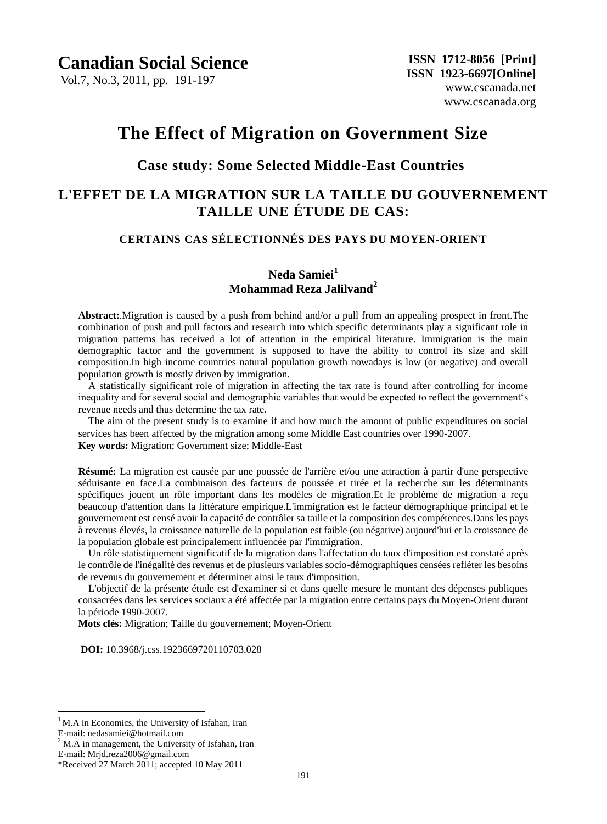Vol.7, No.3, 2011, pp. 191-197

# **The Effect of Migration on Government Size**

### **Case study: Some Selected Middle-East Countries**

## **L'EFFET DE LA MIGRATION SUR LA TAILLE DU GOUVERNEMENT TAILLE UNE ÉTUDE DE CAS:**

### **CERTAINS CAS SÉLECTIONNÉS DES PAYS DU MOYEN-ORIENT**

### **Neda Samiei<sup>1</sup> Mohammad Reza Jalilvand<sup>2</sup>**

**Abstract:**.Migration is caused by a push from behind and/or a pull from an appealing prospect in front.The combination of push and pull factors and research into which specific determinants play a significant role in migration patterns has received a lot of attention in the empirical literature. Immigration is the main demographic factor and the government is supposed to have the ability to control its size and skill composition.In high income countries natural population growth nowadays is low (or negative) and overall population growth is mostly driven by immigration.

A statistically significant role of migration in affecting the tax rate is found after controlling for income inequality and for several social and demographic variables that would be expected to reflect the government's revenue needs and thus determine the tax rate.

The aim of the present study is to examine if and how much the amount of public expenditures on social services has been affected by the migration among some Middle East countries over 1990-2007. **Key words:** Migration; Government size; Middle-East

**Résumé:** La migration est causée par une poussée de l'arrière et/ou une attraction à partir d'une perspective séduisante en face.La combinaison des facteurs de poussée et tirée et la recherche sur les déterminants spécifiques jouent un rôle important dans les modèles de migration. Et le problème de migration a reçu beaucoup d'attention dans la littérature empirique.L'immigration est le facteur démographique principal et le gouvernement est censé avoir la capacité de contrôler sa taille et la composition des compétences.Dans les pays à revenus élevés, la croissance naturelle de la population est faible (ou négative) aujourd'hui et la croissance de la population globale est principalement influencée par l'immigration.

Un rôle statistiquement significatif de la migration dans l'affectation du taux d'imposition est constaté après le contrôle de l'inégalité des revenus et de plusieurs variables socio-démographiques censées refléter les besoins de revenus du gouvernement et déterminer ainsi le taux d'imposition.

L'objectif de la présente étude est d'examiner si et dans quelle mesure le montant des dépenses publiques consacrées dans les services sociaux a été affectée par la migration entre certains pays du Moyen-Orient durant la période 1990-2007.

**Mots clés:** Migration; Taille du gouvernement; Moyen-Orient

 **DOI:** 10.3968/j.css.1923669720110703.028

 $\overline{a}$ 

 $1$  M.A in Economics, the University of Isfahan, Iran

E-mail: nedasamiei@hotmail.com

 $2$  M.A in management, the University of Isfahan, Iran

E-mail: Mrjd.reza2006@gmail.com

<sup>\*</sup>Received 27 March 2011; accepted 10 May 2011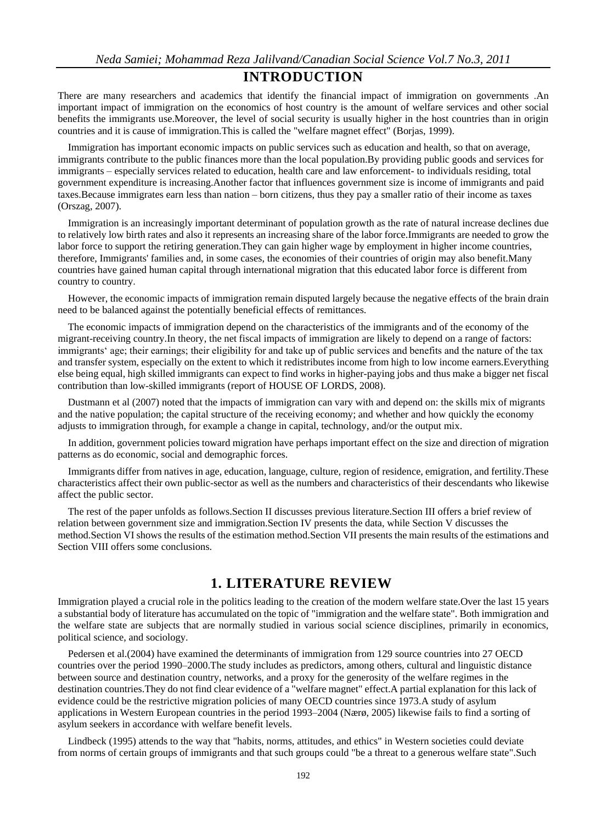### **INTRODUCTION**

There are many researchers and academics that identify the financial impact of immigration on governments .An important impact of immigration on the economics of host country is the amount of welfare services and other social benefits the immigrants use.Moreover, the level of social security is usually higher in the host countries than in origin countries and it is cause of immigration.This is called the "welfare magnet effect" (Borjas, 1999).

Immigration has important economic impacts on public services such as education and health, so that on average, immigrants contribute to the public finances more than the local population.By providing public goods and services for immigrants – especially services related to education, health care and law enforcement- to individuals residing, total government expenditure is increasing.Another factor that influences government size is income of immigrants and paid taxes.Because immigrates earn less than nation – born citizens, thus they pay a smaller ratio of their income as taxes (Orszag, 2007).

Immigration is an increasingly important determinant of population growth as the rate of natural increase declines due to relatively low birth rates and also it represents an increasing share of the labor force.Immigrants are needed to grow the labor force to support the retiring generation.They can gain higher wage by employment in higher income countries, therefore, Immigrants' families and, in some cases, the economies of their countries of origin may also benefit.Many countries have gained human capital through international migration that this educated labor force is different from country to country.

However, the economic impacts of immigration remain disputed largely because the negative effects of the brain drain need to be balanced against the potentially beneficial effects of remittances.

The economic impacts of immigration depend on the characteristics of the immigrants and of the economy of the migrant-receiving country.In theory, the net fiscal impacts of immigration are likely to depend on a range of factors: immigrants' age; their earnings; their eligibility for and take up of public services and benefits and the nature of the tax and transfer system, especially on the extent to which it redistributes income from high to low income earners.Everything else being equal, high skilled immigrants can expect to find works in higher-paying jobs and thus make a bigger net fiscal contribution than low-skilled immigrants (report of HOUSE OF LORDS, 2008).

Dustmann et al (2007) noted that the impacts of immigration can vary with and depend on: the skills mix of migrants and the native population; the capital structure of the receiving economy; and whether and how quickly the economy adjusts to immigration through, for example a change in capital, technology, and/or the output mix.

In addition, government policies toward migration have perhaps important effect on the size and direction of migration patterns as do economic, social and demographic forces.

Immigrants differ from natives in age, education, language, culture, region of residence, emigration, and fertility.These characteristics affect their own public-sector as well as the numbers and characteristics of their descendants who likewise affect the public sector.

The rest of the paper unfolds as follows.Section II discusses previous literature.Section III offers a brief review of relation between government size and immigration.Section IV presents the data, while Section V discusses the method.Section VI shows the results of the estimation method.Section VII presents the main results of the estimations and Section VIII offers some conclusions.

### **1. LITERATURE REVIEW**

Immigration played a crucial role in the politics leading to the creation of the modern welfare state.Over the last 15 years a substantial body of literature has accumulated on the topic of "immigration and the welfare state". Both immigration and the welfare state are subjects that are normally studied in various social science disciplines, primarily in economics, political science, and sociology.

Pedersen et al.(2004) have examined the determinants of immigration from 129 source countries into 27 OECD countries over the period 1990–2000.The study includes as predictors, among others, cultural and linguistic distance between source and destination country, networks, and a proxy for the generosity of the welfare regimes in the destination countries.They do not find clear evidence of a "welfare magnet" effect.A partial explanation for this lack of evidence could be the restrictive migration policies of many OECD countries since 1973.A study of asylum applications in Western European countries in the period 1993–2004 (Nærø, 2005) likewise fails to find a sorting of asylum seekers in accordance with welfare benefit levels.

Lindbeck (1995) attends to the way that "habits, norms, attitudes, and ethics" in Western societies could deviate from norms of certain groups of immigrants and that such groups could "be a threat to a generous welfare state".Such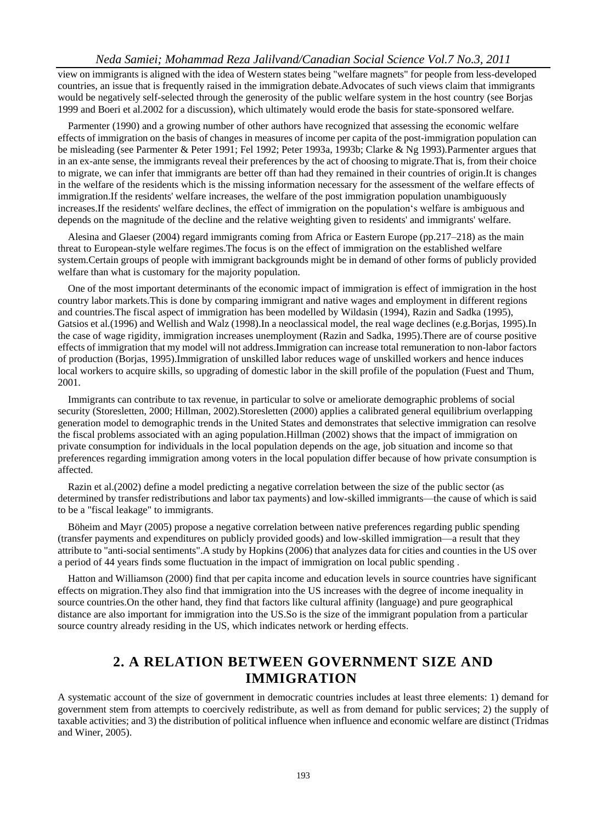#### *Neda Samiei; Mohammad Reza Jalilvand/Canadian Social Science Vol.7 No.3, 2011*

view on immigrants is aligned with the idea of Western states being "welfare magnets" for people from less-developed countries, an issue that is frequently raised in the immigration debate.Advocates of such views claim that immigrants would be negatively self-selected through the generosity of the public welfare system in the host country (see Borjas 1999 and Boeri et al.2002 for a discussion), which ultimately would erode the basis for state-sponsored welfare.

Parmenter (1990) and a growing number of other authors have recognized that assessing the economic welfare effects of immigration on the basis of changes in measures of income per capita of the post-immigration population can be misleading (see Parmenter & Peter 1991; Fel 1992; Peter 1993a, 1993b; Clarke & Ng 1993).Parmenter argues that in an ex-ante sense, the immigrants reveal their preferences by the act of choosing to migrate.That is, from their choice to migrate, we can infer that immigrants are better off than had they remained in their countries of origin.It is changes in the welfare of the residents which is the missing information necessary for the assessment of the welfare effects of immigration.If the residents' welfare increases, the welfare of the post immigration population unambiguously increases.If the residents' welfare declines, the effect of immigration on the population's welfare is ambiguous and depends on the magnitude of the decline and the relative weighting given to residents' and immigrants' welfare.

Alesina and Glaeser (2004) regard immigrants coming from Africa or Eastern Europe (pp.217–218) as the main threat to European-style welfare regimes.The focus is on the effect of immigration on the established welfare system.Certain groups of people with immigrant backgrounds might be in demand of other forms of publicly provided welfare than what is customary for the majority population.

One of the most important determinants of the economic impact of immigration is effect of immigration in the host country labor markets.This is done by comparing immigrant and native wages and employment in different regions and countries.The fiscal aspect of immigration has been modelled by Wildasin (1994), Razin and Sadka (1995), Gatsios et al.(1996) and Wellish and Walz (1998).In a neoclassical model, the real wage declines (e.g.Borjas, 1995).In the case of wage rigidity, immigration increases unemployment (Razin and Sadka, 1995).There are of course positive effects of immigration that my model will not address.Immigration can increase total remuneration to non-labor factors of production (Borjas, 1995).Immigration of unskilled labor reduces wage of unskilled workers and hence induces local workers to acquire skills, so upgrading of domestic labor in the skill profile of the population (Fuest and Thum, 2001.

Immigrants can contribute to tax revenue, in particular to solve or ameliorate demographic problems of social security (Storesletten, 2000; Hillman, 2002).Storesletten (2000) applies a calibrated general equilibrium overlapping generation model to demographic trends in the United States and demonstrates that selective immigration can resolve the fiscal problems associated with an aging population.Hillman (2002) shows that the impact of immigration on private consumption for individuals in the local population depends on the age, job situation and income so that preferences regarding immigration among voters in the local population differ because of how private consumption is affected.

Razin et al.(2002) define a model predicting a negative correlation between the size of the public sector (as determined by transfer redistributions and labor tax payments) and low-skilled immigrants—the cause of which is said to be a "fiscal leakage" to immigrants.

Böheim and Mayr (2005) propose a negative correlation between native preferences regarding public spending (transfer payments and expenditures on publicly provided goods) and low-skilled immigration—a result that they attribute to "anti-social sentiments".A study by Hopkins (2006) that analyzes data for cities and counties in the US over a period of 44 years finds some fluctuation in the impact of immigration on local public spending .

Hatton and Williamson (2000) find that per capita income and education levels in source countries have significant effects on migration.They also find that immigration into the US increases with the degree of income inequality in source countries.On the other hand, they find that factors like cultural affinity (language) and pure geographical distance are also important for immigration into the US.So is the size of the immigrant population from a particular source country already residing in the US, which indicates network or herding effects.

### **2. A RELATION BETWEEN GOVERNMENT SIZE AND IMMIGRATION**

A systematic account of the size of government in democratic countries includes at least three elements: 1) demand for government stem from attempts to coercively redistribute, as well as from demand for public services; 2) the supply of taxable activities; and 3) the distribution of political influence when influence and economic welfare are distinct (Tridmas and Winer, 2005).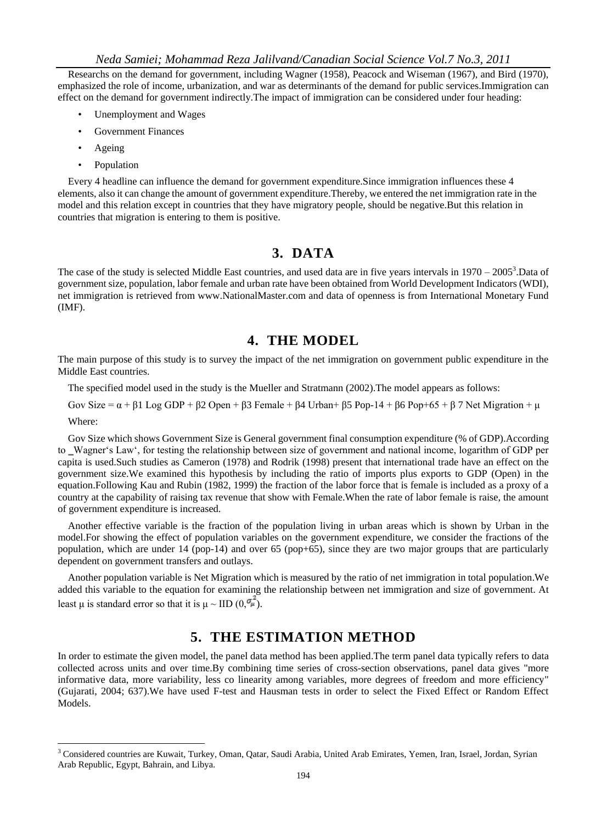*Neda Samiei; Mohammad Reza Jalilvand/Canadian Social Science Vol.7 No.3, 2011*

Researchs on the demand for government, including Wagner (1958), Peacock and Wiseman (1967), and Bird (1970), emphasized the role of income, urbanization, and war as determinants of the demand for public services.Immigration can effect on the demand for government indirectly.The impact of immigration can be considered under four heading:

- Unemployment and Wages
- Government Finances
- Ageing

 $\overline{a}$ 

• Population

Every 4 headline can influence the demand for government expenditure.Since immigration influences these 4 elements, also it can change the amount of government expenditure.Thereby, we entered the net immigration rate in the model and this relation except in countries that they have migratory people, should be negative.But this relation in countries that migration is entering to them is positive.

### **3. DATA**

The case of the study is selected Middle East countries, and used data are in five years intervals in  $1970-2005^3$ . Data of government size, population, labor female and urban rate have been obtained from World Development Indicators (WDI), net immigration is retrieved from www.NationalMaster.com and data of openness is from International Monetary Fund (IMF).

### **4. THE MODEL**

The main purpose of this study is to survey the impact of the net immigration on government public expenditure in the Middle East countries.

The specified model used in the study is the Mueller and Stratmann (2002).The model appears as follows:

Gov Size =  $\alpha$  +  $\beta$ 1 Log GDP +  $\beta$ 2 Open +  $\beta$ 3 Female +  $\beta$ 4 Urban+  $\beta$ 5 Pop-14 +  $\beta$ 6 Pop+65 +  $\beta$  7 Net Migration +  $\mu$ Where:

Gov Size which shows Government Size is General government final consumption expenditure (% of GDP).According to ‗Wagner's Law', for testing the relationship between size of government and national income, logarithm of GDP per capita is used.Such studies as Cameron (1978) and Rodrik (1998) present that international trade have an effect on the government size.We examined this hypothesis by including the ratio of imports plus exports to GDP (Open) in the equation.Following Kau and Rubin (1982, 1999) the fraction of the labor force that is female is included as a proxy of a country at the capability of raising tax revenue that show with Female.When the rate of labor female is raise, the amount of government expenditure is increased.

Another effective variable is the fraction of the population living in urban areas which is shown by Urban in the model.For showing the effect of population variables on the government expenditure, we consider the fractions of the population, which are under 14 (pop-14) and over 65 (pop+65), since they are two major groups that are particularly dependent on government transfers and outlays.

Another population variable is Net Migration which is measured by the ratio of net immigration in total population.We added this variable to the equation for examining the relationship between net immigration and size of government. At least μ is standard error so that it is  $\mu \sim \text{IID}(0, \frac{\sigma_{\mu}}{\mu})$ .

### **5. THE ESTIMATION METHOD**

In order to estimate the given model, the panel data method has been applied.The term panel data typically refers to data collected across units and over time.By combining time series of cross-section observations, panel data gives "more informative data, more variability, less co linearity among variables, more degrees of freedom and more efficiency" (Gujarati, 2004; 637).We have used F-test and Hausman tests in order to select the Fixed Effect or Random Effect Models.

<sup>&</sup>lt;sup>3</sup> Considered countries are Kuwait, Turkey, Oman, Qatar, Saudi Arabia, United Arab Emirates, Yemen, Iran, Israel, Jordan, Syrian Arab Republic, Egypt, Bahrain, and Libya.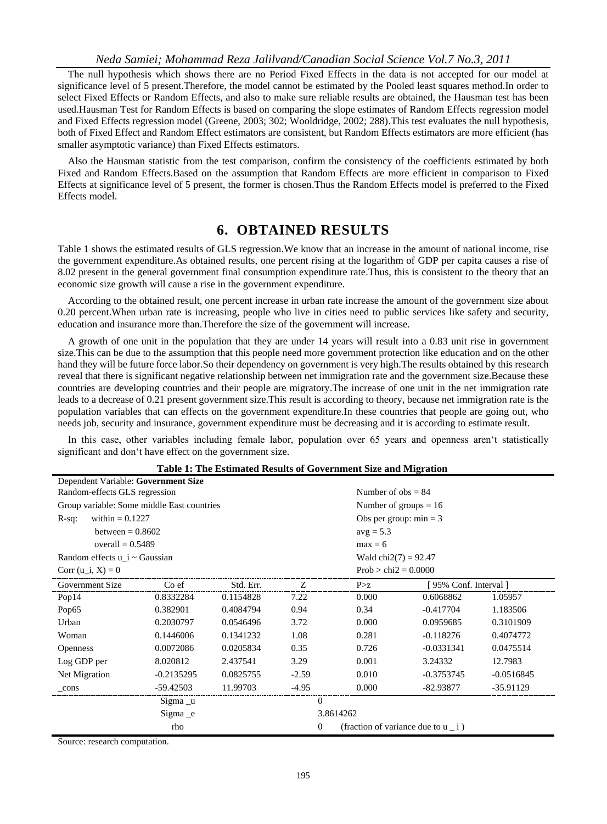The null hypothesis which shows there are no Period Fixed Effects in the data is not accepted for our model at significance level of 5 present.Therefore, the model cannot be estimated by the Pooled least squares method.In order to select Fixed Effects or Random Effects, and also to make sure reliable results are obtained, the Hausman test has been used.Hausman Test for Random Effects is based on comparing the slope estimates of Random Effects regression model and Fixed Effects regression model (Greene, 2003; 302; Wooldridge, 2002; 288).This test evaluates the null hypothesis, both of Fixed Effect and Random Effect estimators are consistent, but Random Effects estimators are more efficient (has smaller asymptotic variance) than Fixed Effects estimators.

Also the Hausman statistic from the test comparison, confirm the consistency of the coefficients estimated by both Fixed and Random Effects.Based on the assumption that Random Effects are more efficient in comparison to Fixed Effects at significance level of 5 present, the former is chosen.Thus the Random Effects model is preferred to the Fixed Effects model.

### **6. OBTAINED RESULTS**

Table 1 shows the estimated results of GLS regression.We know that an increase in the amount of national income, rise the government expenditure.As obtained results, one percent rising at the logarithm of GDP per capita causes a rise of 8.02 present in the general government final consumption expenditure rate.Thus, this is consistent to the theory that an economic size growth will cause a rise in the government expenditure.

According to the obtained result, one percent increase in urban rate increase the amount of the government size about 0.20 percent.When urban rate is increasing, people who live in cities need to public services like safety and security, education and insurance more than.Therefore the size of the government will increase.

A growth of one unit in the population that they are under 14 years will result into a 0.83 unit rise in government size.This can be due to the assumption that this people need more government protection like education and on the other hand they will be future force labor.So their dependency on government is very high.The results obtained by this research reveal that there is significant negative relationship between net immigration rate and the government size.Because these countries are developing countries and their people are migratory.The increase of one unit in the net immigration rate leads to a decrease of 0.21 present government size.This result is according to theory, because net immigration rate is the population variables that can effects on the government expenditure.In these countries that people are going out, who needs job, security and insurance, government expenditure must be decreasing and it is according to estimate result.

In this case, other variables including female labor, population over 65 years and openness aren't statistically significant and don't have effect on the government size.

| -<br>Dependent Variable: Government Size   |                                                      |           |          |             |                          |              |  |
|--------------------------------------------|------------------------------------------------------|-----------|----------|-------------|--------------------------|--------------|--|
| Random-effects GLS regression              |                                                      |           |          |             | Number of $obs = 84$     |              |  |
| Group variable: Some middle East countries |                                                      |           |          |             | Number of groups $= 16$  |              |  |
| within $= 0.1227$<br>$R-sq$ :              |                                                      |           |          |             | Obs per group: $min = 3$ |              |  |
| between $= 0.8602$                         |                                                      |           |          | $avg = 5.3$ |                          |              |  |
| overall $= 0.5489$                         |                                                      |           |          | $max = 6$   |                          |              |  |
| Random effects u_i ~ Gaussian              |                                                      |           |          |             | Wald $chi2(7) = 92.47$   |              |  |
| Corr $(u_i, X) = 0$                        |                                                      |           |          |             | $Prob > chi2 = 0.0000$   |              |  |
| Government Size                            | Co ef                                                | Std. Err. | Z        | P > z       | 95% Conf. Interval ]     |              |  |
| Pop14                                      | 0.8332284                                            | 0.1154828 | 7.22     | 0.000       | 0.6068862                | 1.05957      |  |
| Pop65                                      | 0.382901                                             | 0.4084794 | 0.94     | 0.34        | $-0.417704$              | 1.183506     |  |
| Urban                                      | 0.2030797                                            | 0.0546496 | 3.72     | 0.000       | 0.0959685                | 0.3101909    |  |
| Woman                                      | 0.1446006                                            | 0.1341232 | 1.08     | 0.281       | $-0.118276$              | 0.4074772    |  |
| <b>Openness</b>                            | 0.0072086                                            | 0.0205834 | 0.35     | 0.726       | $-0.0331341$             | 0.0475514    |  |
| Log GDP per                                | 8.020812                                             | 2.437541  | 3.29     | 0.001       | 3.24332                  | 12.7983      |  |
| Net Migration                              | $-0.2135295$                                         | 0.0825755 | $-2.59$  | 0.010       | $-0.3753745$             | $-0.0516845$ |  |
| cons                                       | $-59.42503$                                          | 11.99703  | $-4.95$  | 0.000       | $-82.93877$              | $-35.91129$  |  |
|                                            | Sigma _u                                             |           | $\theta$ |             |                          |              |  |
|                                            | 3.8614262<br>$Sigma_e$                               |           |          |             |                          |              |  |
|                                            | rho<br>(fraction of variance due to u i)<br>$\Omega$ |           |          |             |                          |              |  |

**Table 1: The Estimated Results of Government Size and Migration**

Source: research computation.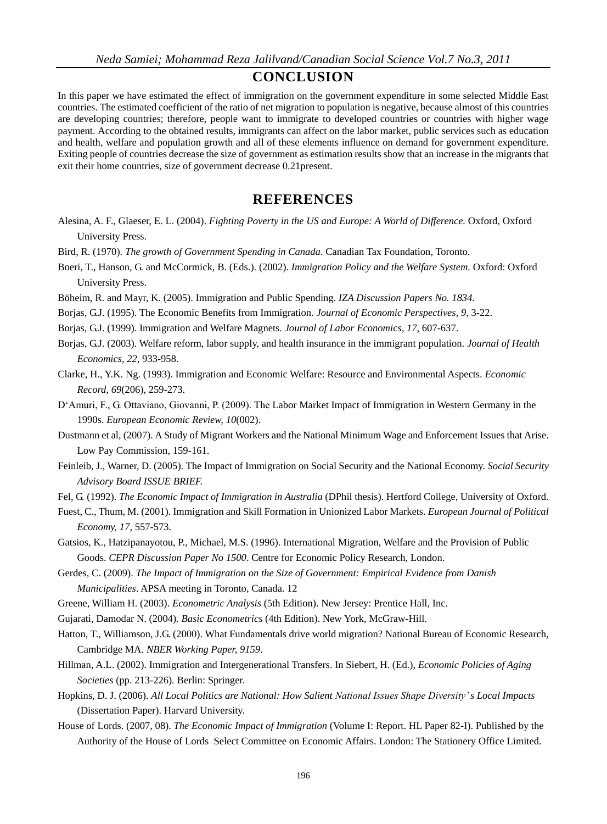### **CONCLUSION**

In this paper we have estimated the effect of immigration on the government expenditure in some selected Middle East countries. The estimated coefficient of the ratio of net migration to population is negative, because almost of this countries are developing countries; therefore, people want to immigrate to developed countries or countries with higher wage payment. According to the obtained results, immigrants can affect on the labor market, public services such as education and health, welfare and population growth and all of these elements influence on demand for government expenditure. Exiting people of countries decrease the size of government as estimation results show that an increase in the migrants that exit their home countries, size of government decrease 0.21present.

#### **REFERENCES**

Alesina, A. F., Glaeser, E. L. (2004). *Fighting Poverty in the US and Europe: A World of Difference.* Oxford, Oxford University Press.

Bird, R. (1970). *The growth of Government Spending in Canada*. Canadian Tax Foundation, Toronto.

- Boeri, T., Hanson, G. and McCormick, B. (Eds.). (2002). *Immigration Policy and the Welfare System.* Oxford: Oxford University Press.
- Böheim, R. and Mayr, K. (2005). Immigration and Public Spending. *IZA Discussion Papers No. 1834.*

Borjas, G.J. (1995). The Economic Benefits from Immigration. *Journal of Economic Perspectives, 9*, 3-22.

Borjas, G.J. (1999). Immigration and Welfare Magnets. *Journal of Labor Economics, 17*, 607-637.

- Borjas, G.J. (2003). Welfare reform, labor supply, and health insurance in the immigrant population. *Journal of Health Economics, 22*, 933-958.
- Clarke, H., Y.K. Ng. (1993). Immigration and Economic Welfare: Resource and Environmental Aspects. *Economic Record, 69*(206), 259-273.
- D'Amuri, F., G. Ottaviano, Giovanni, P. (2009). The Labor Market Impact of Immigration in Western Germany in the 1990s. *European Economic Review, 10*(002).
- Dustmann et al, (2007). A Study of Migrant Workers and the National Minimum Wage and Enforcement Issues that Arise. Low Pay Commission, 159-161.
- Feinleib, J., Warner, D. (2005). The Impact of Immigration on Social Security and the National Economy. *Social Security Advisory Board ISSUE BRIEF.*
- Fel, G. (1992). *The Economic Impact of Immigration in Australia* (DPhil thesis). Hertford College, University of Oxford.
- Fuest, C., Thum, M. (2001). Immigration and Skill Formation in Unionized Labor Markets. *European Journal of Political Economy, 17*, 557-573.
- Gatsios, K., Hatzipanayotou, P., Michael, M.S. (1996). International Migration, Welfare and the Provision of Public Goods. *CEPR Discussion Paper No 1500*. Centre for Economic Policy Research, London.
- Gerdes, C. (2009). *The Impact of Immigration on the Size of Government: Empirical Evidence from Danish Municipalities*. APSA meeting in Toronto, Canada. 12
- Greene, William H. (2003). *Econometric Analysis* (5th Edition). New Jersey: Prentice Hall, Inc.
- Gujarati, Damodar N. (2004). *Basic Econometrics* (4th Edition). New York, McGraw-Hill.
- Hatton, T., Williamson, J.G. (2000). What Fundamentals drive world migration? National Bureau of Economic Research, Cambridge MA. *NBER Working Paper, 9159*.
- Hillman, A.L. (2002). Immigration and Intergenerational Transfers. In Siebert, H. (Ed.), *Economic Policies of Aging Societies* (pp. 213-226)*.* Berlin: Springer.
- Hopkins, D. J. (2006). *All Local Politics are National: How Salient National Issues Shape Diversity's Local Impacts* (Dissertation Paper). Harvard University.
- House of Lords. (2007, 08). *The Economic Impact of Immigration* (Volume I: Report. HL Paper 82-I). Published by the Authority of the House of Lords Select Committee on Economic Affairs. London: The Stationery Office Limited.